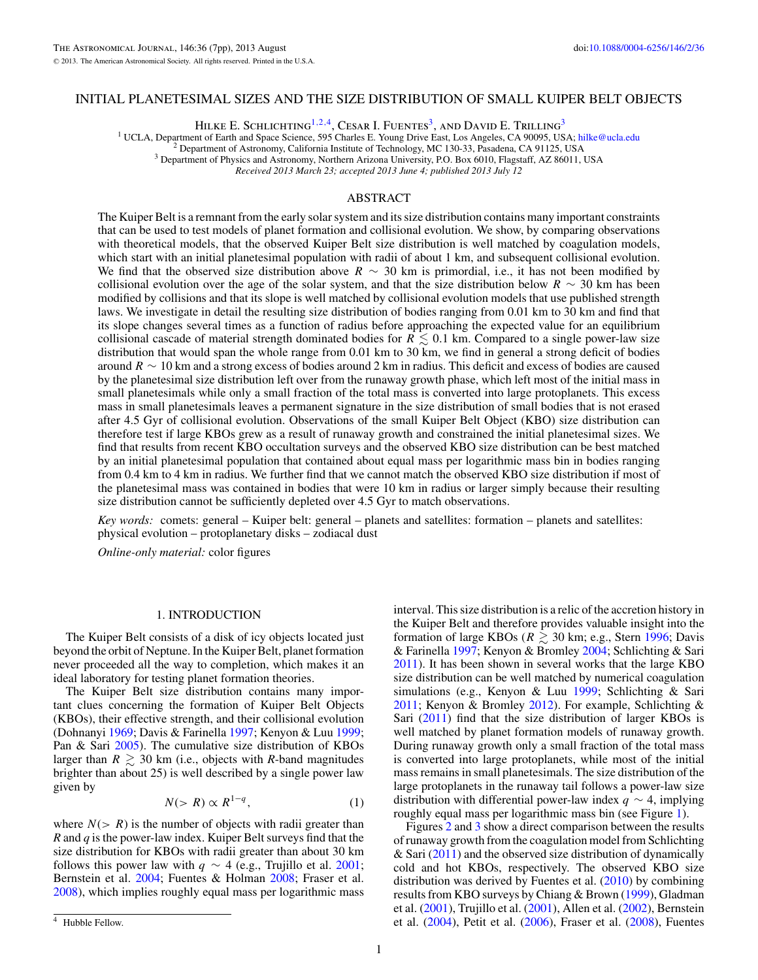# INITIAL PLANETESIMAL SIZES AND THE SIZE DISTRIBUTION OF SMALL KUIPER BELT OBJECTS

HILKE E. SCHLICHTING<sup>1,2,4</sup>, CESAR I. FUENTES<sup>3</sup>, AND DAVID E. TRILLING<sup>3</sup><br><sup>1</sup> UCLA, Department of Earth and Space Science, 595 Charles E. Young Drive East, Los Angeles, CA 90095, USA; hilke@ucla.edu

<sup>2</sup> Department of Astronomy, California Institute of Technology, MC 130-33, Pasadena, CA 91125, USA <sup>3</sup> Department of Physics and Astronomy, Northern Arizona University, P.O. Box 6010, Flagstaff, AZ 86011, USA

*Received 2013 March 23; accepted 2013 June 4; published 2013 July 12*

## ABSTRACT

The Kuiper Belt is a remnant from the early solar system and its size distribution contains many important constraints that can be used to test models of planet formation and collisional evolution. We show, by comparing observations with theoretical models, that the observed Kuiper Belt size distribution is well matched by coagulation models, which start with an initial planetesimal population with radii of about 1 km, and subsequent collisional evolution. We find that the observed size distribution above  $R \sim 30$  km is primordial, i.e., it has not been modified by collisional evolution over the age of the solar system, and that the size distribution below *R* ∼ 30 km has been modified by collisions and that its slope is well matched by collisional evolution models that use published strength laws. We investigate in detail the resulting size distribution of bodies ranging from 0.01 km to 30 km and find that its slope changes several times as a function of radius before approaching the expected value for an equilibrium collisional cascade of material strength dominated bodies for  $R \lesssim 0.1$  km. Compared to a single power-law size distribution that would span the whole range from 0.01 km to 30 km, we find in general a strong deficit of bodies around *R* ∼ 10 km and a strong excess of bodies around 2 km in radius. This deficit and excess of bodies are caused by the planetesimal size distribution left over from the runaway growth phase, which left most of the initial mass in small planetesimals while only a small fraction of the total mass is converted into large protoplanets. This excess mass in small planetesimals leaves a permanent signature in the size distribution of small bodies that is not erased after 4.5 Gyr of collisional evolution. Observations of the small Kuiper Belt Object (KBO) size distribution can therefore test if large KBOs grew as a result of runaway growth and constrained the initial planetesimal sizes. We find that results from recent KBO occultation surveys and the observed KBO size distribution can be best matched by an initial planetesimal population that contained about equal mass per logarithmic mass bin in bodies ranging from 0.4 km to 4 km in radius. We further find that we cannot match the observed KBO size distribution if most of the planetesimal mass was contained in bodies that were 10 km in radius or larger simply because their resulting size distribution cannot be sufficiently depleted over 4.5 Gyr to match observations.

*Key words:* comets: general – Kuiper belt: general – planets and satellites: formation – planets and satellites: physical evolution – protoplanetary disks – zodiacal dust

*Online-only material:* color figures

## 1. INTRODUCTION

The Kuiper Belt consists of a disk of icy objects located just beyond the orbit of Neptune. In the Kuiper Belt, planet formation never proceeded all the way to completion, which makes it an ideal laboratory for testing planet formation theories.

The Kuiper Belt size distribution contains many important clues concerning the formation of Kuiper Belt Objects (KBOs), their effective strength, and their collisional evolution (Dohnanyi [1969;](#page-6-0) Davis & Farinella [1997;](#page-6-0) Kenyon & Luu [1999;](#page-6-0) Pan & Sari [2005\)](#page-6-0). The cumulative size distribution of KBOs larger than  $R \geq 30$  km (i.e., objects with *R*-band magnitudes brighter than about 25) is well described by a single power law given by

$$
N(>R) \propto R^{1-q},\tag{1}
$$

where  $N(> R)$  is the number of objects with radii greater than *R* and *q* is the power-law index. Kuiper Belt surveys find that the size distribution for KBOs with radii greater than about 30 km follows this power law with  $q \sim 4$  (e.g., Trujillo et al. [2001;](#page-6-0) Bernstein et al. [2004;](#page-6-0) Fuentes & Holman [2008;](#page-6-0) Fraser et al. [2008\)](#page-6-0), which implies roughly equal mass per logarithmic mass

interval. This size distribution is a relic of the accretion history in the Kuiper Belt and therefore provides valuable insight into the formation of large KBOs ( $R \ge 30$  km; e.g., Stern [1996;](#page-6-0) Davis & Farinella [1997;](#page-6-0) Kenyon & Bromley [2004;](#page-6-0) Schlichting & Sari [2011\)](#page-6-0). It has been shown in several works that the large KBO size distribution can be well matched by numerical coagulation simulations (e.g., Kenyon & Luu [1999;](#page-6-0) Schlichting & Sari [2011;](#page-6-0) Kenyon & Bromley [2012\)](#page-6-0). For example, Schlichting & Sari  $(2011)$  find that the size distribution of larger KBOs is well matched by planet formation models of runaway growth. During runaway growth only a small fraction of the total mass is converted into large protoplanets, while most of the initial mass remains in small planetesimals. The size distribution of the large protoplanets in the runaway tail follows a power-law size distribution with differential power-law index *q* ∼ 4, implying roughly equal mass per logarithmic mass bin (see Figure [1\)](#page-1-0).

Figures [2](#page-1-0) and [3](#page-1-0) show a direct comparison between the results of runaway growth from the coagulation model from Schlichting  $&$  Sari [\(2011\)](#page-6-0) and the observed size distribution of dynamically cold and hot KBOs, respectively. The observed KBO size distribution was derived by Fuentes et al.  $(2010)$  by combining results from KBO surveys by Chiang & Brown [\(1999\)](#page-6-0), Gladman et al. [\(2001\)](#page-6-0), Trujillo et al. [\(2001\)](#page-6-0), Allen et al. [\(2002\)](#page-6-0), Bernstein et al. [\(2004\)](#page-6-0), Petit et al. [\(2006\)](#page-6-0), Fraser et al. [\(2008\)](#page-6-0), Fuentes

<sup>4</sup> Hubble Fellow.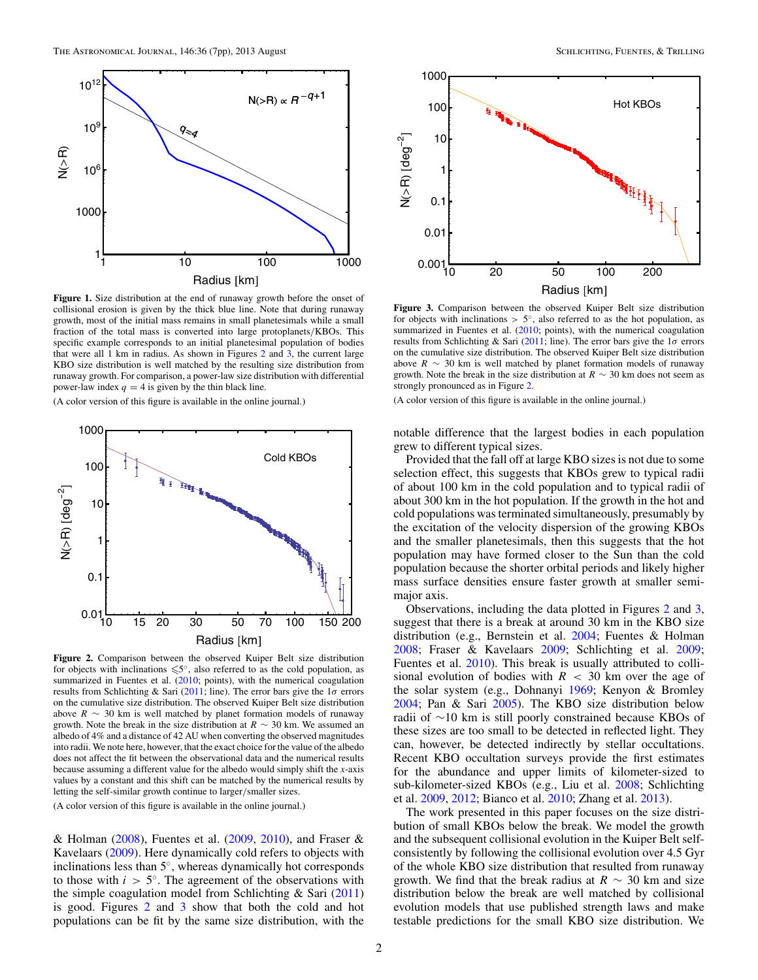<span id="page-1-0"></span>

**Figure 1.** Size distribution at the end of runaway growth before the onset of collisional erosion is given by the thick blue line. Note that during runaway growth, most of the initial mass remains in small planetesimals while a small fraction of the total mass is converted into large protoplanets*/*KBOs. This specific example corresponds to an initial planetesimal population of bodies that were all 1 km in radius. As shown in Figures 2 and  $3$ , the current large KBO size distribution is well matched by the resulting size distribution from runaway growth. For comparison, a power-law size distribution with differential power-law index  $q = 4$  is given by the thin black line.

(A color version of this figure is available in the online journal.)



**Figure 2.** Comparison between the observed Kuiper Belt size distribution for objects with inclinations  $\leq 5^\circ$ , also referred to as the cold population, as summarized in Fuentes et al. [\(2010;](#page-6-0) points), with the numerical coagulation results from Schlichting & Sari [\(2011;](#page-6-0) line). The error bars give the 1*σ* errors on the cumulative size distribution. The observed Kuiper Belt size distribution above  $R \sim 30$  km is well matched by planet formation models of runaway growth. Note the break in the size distribution at  $R \sim 30$  km. We assumed an albedo of 4% and a distance of 42 AU when converting the observed magnitudes into radii. We note here, however, that the exact choice for the value of the albedo does not affect the fit between the observational data and the numerical results because assuming a different value for the albedo would simply shift the *x*-axis values by a constant and this shift can be matched by the numerical results by letting the self-similar growth continue to larger*/*smaller sizes.

(A color version of this figure is available in the online journal.)

& Holman [\(2008\)](#page-6-0), Fuentes et al. [\(2009,](#page-6-0) [2010\)](#page-6-0), and Fraser & Kavelaars [\(2009\)](#page-6-0). Here dynamically cold refers to objects with inclinations less than 5◦, whereas dynamically hot corresponds to those with  $i > 5^\circ$ . The agreement of the observations with the simple coagulation model from Schlichting  $\&$  Sari [\(2011\)](#page-6-0) is good. Figures 2 and 3 show that both the cold and hot populations can be fit by the same size distribution, with the



**Figure 3.** Comparison between the observed Kuiper Belt size distribution for objects with inclinations  $> 5^\circ$ , also referred to as the hot population, as summarized in Fuentes et al. [\(2010;](#page-6-0) points), with the numerical coagulation results from Schlichting & Sari [\(2011;](#page-6-0) line). The error bars give the 1*σ* errors on the cumulative size distribution. The observed Kuiper Belt size distribution above  $R \sim 30$  km is well matched by planet formation models of runaway growth. Note the break in the size distribution at  $R \sim 30$  km does not seem as strongly pronounced as in Figure 2.

(A color version of this figure is available in the online journal.)

notable difference that the largest bodies in each population grew to different typical sizes.

Provided that the fall off at large KBO sizes is not due to some selection effect, this suggests that KBOs grew to typical radii of about 100 km in the cold population and to typical radii of about 300 km in the hot population. If the growth in the hot and cold populations was terminated simultaneously, presumably by the excitation of the velocity dispersion of the growing KBOs and the smaller planetesimals, then this suggests that the hot population may have formed closer to the Sun than the cold population because the shorter orbital periods and likely higher mass surface densities ensure faster growth at smaller semimajor axis.

Observations, including the data plotted in Figures 2 and 3, suggest that there is a break at around 30 km in the KBO size distribution (e.g., Bernstein et al. [2004;](#page-6-0) Fuentes & Holman [2008;](#page-6-0) Fraser & Kavelaars [2009;](#page-6-0) Schlichting et al. [2009;](#page-6-0) Fuentes et al. [2010\)](#page-6-0). This break is usually attributed to collisional evolution of bodies with  $R < 30$  km over the age of the solar system (e.g., Dohnanyi [1969;](#page-6-0) Kenyon & Bromley [2004;](#page-6-0) Pan & Sari [2005\)](#page-6-0). The KBO size distribution below radii of ∼10 km is still poorly constrained because KBOs of these sizes are too small to be detected in reflected light. They can, however, be detected indirectly by stellar occultations. Recent KBO occultation surveys provide the first estimates for the abundance and upper limits of kilometer-sized to sub-kilometer-sized KBOs (e.g., Liu et al. [2008;](#page-6-0) Schlichting et al. [2009,](#page-6-0) [2012;](#page-6-0) Bianco et al. [2010;](#page-6-0) Zhang et al. [2013\)](#page-6-0).

The work presented in this paper focuses on the size distribution of small KBOs below the break. We model the growth and the subsequent collisional evolution in the Kuiper Belt selfconsistently by following the collisional evolution over 4.5 Gyr of the whole KBO size distribution that resulted from runaway growth. We find that the break radius at  $R \sim 30$  km and size distribution below the break are well matched by collisional evolution models that use published strength laws and make testable predictions for the small KBO size distribution. We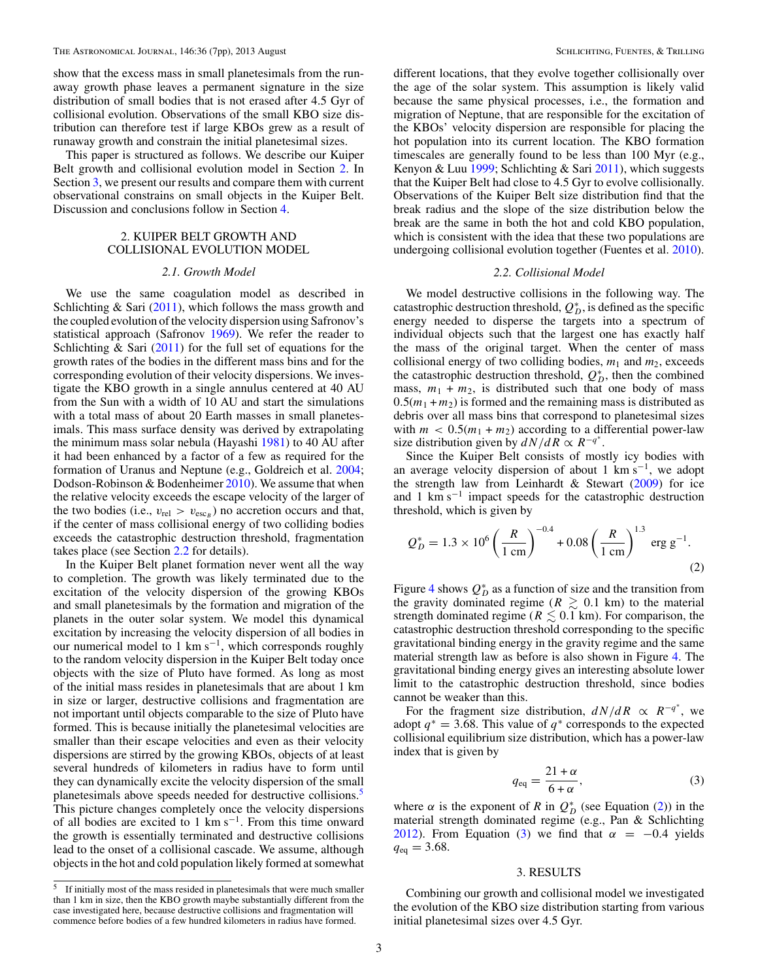<span id="page-2-0"></span>show that the excess mass in small planetesimals from the runaway growth phase leaves a permanent signature in the size distribution of small bodies that is not erased after 4.5 Gyr of collisional evolution. Observations of the small KBO size distribution can therefore test if large KBOs grew as a result of runaway growth and constrain the initial planetesimal sizes.

This paper is structured as follows. We describe our Kuiper Belt growth and collisional evolution model in Section 2. In Section 3, we present our results and compare them with current observational constrains on small objects in the Kuiper Belt. Discussion and conclusions follow in Section [4.](#page-5-0)

# 2. KUIPER BELT GROWTH AND COLLISIONAL EVOLUTION MODEL

#### *2.1. Growth Model*

We use the same coagulation model as described in Schlichting & Sari [\(2011\)](#page-6-0), which follows the mass growth and the coupled evolution of the velocity dispersion using Safronov's statistical approach (Safronov [1969\)](#page-6-0). We refer the reader to Schlichting  $\&$  Sari [\(2011\)](#page-6-0) for the full set of equations for the growth rates of the bodies in the different mass bins and for the corresponding evolution of their velocity dispersions. We investigate the KBO growth in a single annulus centered at 40 AU from the Sun with a width of 10 AU and start the simulations with a total mass of about 20 Earth masses in small planetesimals. This mass surface density was derived by extrapolating the minimum mass solar nebula (Hayashi [1981\)](#page-6-0) to 40 AU after it had been enhanced by a factor of a few as required for the formation of Uranus and Neptune (e.g., Goldreich et al. [2004;](#page-6-0) Dodson-Robinson & Bodenheimer [2010\)](#page-6-0). We assume that when the relative velocity exceeds the escape velocity of the larger of the two bodies (i.e.,  $v_{rel} > v_{esc}$ ) no accretion occurs and that, if the center of mass collisional energy of two colliding bodies exceeds the catastrophic destruction threshold, fragmentation takes place (see Section 2.2 for details).

In the Kuiper Belt planet formation never went all the way to completion. The growth was likely terminated due to the excitation of the velocity dispersion of the growing KBOs and small planetesimals by the formation and migration of the planets in the outer solar system. We model this dynamical excitation by increasing the velocity dispersion of all bodies in our numerical model to 1 km s−1, which corresponds roughly to the random velocity dispersion in the Kuiper Belt today once objects with the size of Pluto have formed. As long as most of the initial mass resides in planetesimals that are about 1 km in size or larger, destructive collisions and fragmentation are not important until objects comparable to the size of Pluto have formed. This is because initially the planetesimal velocities are smaller than their escape velocities and even as their velocity dispersions are stirred by the growing KBOs, objects of at least several hundreds of kilometers in radius have to form until they can dynamically excite the velocity dispersion of the small planetesimals above speeds needed for destructive collisions.<sup>5</sup> This picture changes completely once the velocity dispersions of all bodies are excited to 1 km s−1. From this time onward the growth is essentially terminated and destructive collisions lead to the onset of a collisional cascade. We assume, although objects in the hot and cold population likely formed at somewhat

different locations, that they evolve together collisionally over the age of the solar system. This assumption is likely valid because the same physical processes, i.e., the formation and migration of Neptune, that are responsible for the excitation of the KBOs' velocity dispersion are responsible for placing the hot population into its current location. The KBO formation timescales are generally found to be less than 100 Myr (e.g., Kenyon & Luu [1999;](#page-6-0) Schlichting & Sari [2011\)](#page-6-0), which suggests that the Kuiper Belt had close to 4.5 Gyr to evolve collisionally. Observations of the Kuiper Belt size distribution find that the break radius and the slope of the size distribution below the break are the same in both the hot and cold KBO population, which is consistent with the idea that these two populations are undergoing collisional evolution together (Fuentes et al. [2010\)](#page-6-0).

#### *2.2. Collisional Model*

We model destructive collisions in the following way. The catastrophic destruction threshold,  $Q_{D}^{*}$ , is defined as the specific energy needed to disperse the targets into a spectrum of individual objects such that the largest one has exactly half the mass of the original target. When the center of mass collisional energy of two colliding bodies,  $m_1$  and  $m_2$ , exceeds the catastrophic destruction threshold,  $Q_D^*$ , then the combined mass,  $m_1 + m_2$ , is distributed such that one body of mass  $0.5(m_1 + m_2)$  is formed and the remaining mass is distributed as debris over all mass bins that correspond to planetesimal sizes with  $m < 0.5(m_1 + m_2)$  according to a differential power-law size distribution given by  $dN/dR \propto R^{-q^*}$ .

Since the Kuiper Belt consists of mostly icy bodies with an average velocity dispersion of about 1 km s−1, we adopt the strength law from Leinhardt & Stewart  $(2009)$  for ice and 1 km s<sup> $-1$ </sup> impact speeds for the catastrophic destruction threshold, which is given by

$$
Q_D^* = 1.3 \times 10^6 \left(\frac{R}{1 \text{ cm}}\right)^{-0.4} + 0.08 \left(\frac{R}{1 \text{ cm}}\right)^{1.3} \text{ erg g}^{-1}.
$$
 (2)

Figure [4](#page-3-0) shows  $Q_D^*$  as a function of size and the transition from the gravity dominated regime ( $R \geq 0.1$  km) to the material strength dominated regime ( $R \lesssim 0.1$  km). For comparison, the catastrophic destruction threshold corresponding to the specific gravitational binding energy in the gravity regime and the same material strength law as before is also shown in Figure [4.](#page-3-0) The gravitational binding energy gives an interesting absolute lower limit to the catastrophic destruction threshold, since bodies cannot be weaker than this.

For the fragment size distribution,  $dN/dR \propto R^{-q^*}$ , we adopt  $q^* = 3.68$ . This value of  $q^*$  corresponds to the expected collisional equilibrium size distribution, which has a power-law index that is given by

$$
q_{\text{eq}} = \frac{21 + \alpha}{6 + \alpha},\tag{3}
$$

where  $\alpha$  is the exponent of *R* in  $Q_D^*$  (see Equation (2)) in the material strength dominated regime (e.g., Pan & Schlichting [2012\)](#page-6-0). From Equation (3) we find that  $\alpha = -0.4$  yields  $q_{eq} = 3.68$ .

## 3. RESULTS

Combining our growth and collisional model we investigated the evolution of the KBO size distribution starting from various initial planetesimal sizes over 4.5 Gyr.

<sup>&</sup>lt;sup>5</sup> If initially most of the mass resided in planetesimals that were much smaller than 1 km in size, then the KBO growth maybe substantially different from the case investigated here, because destructive collisions and fragmentation will commence before bodies of a few hundred kilometers in radius have formed.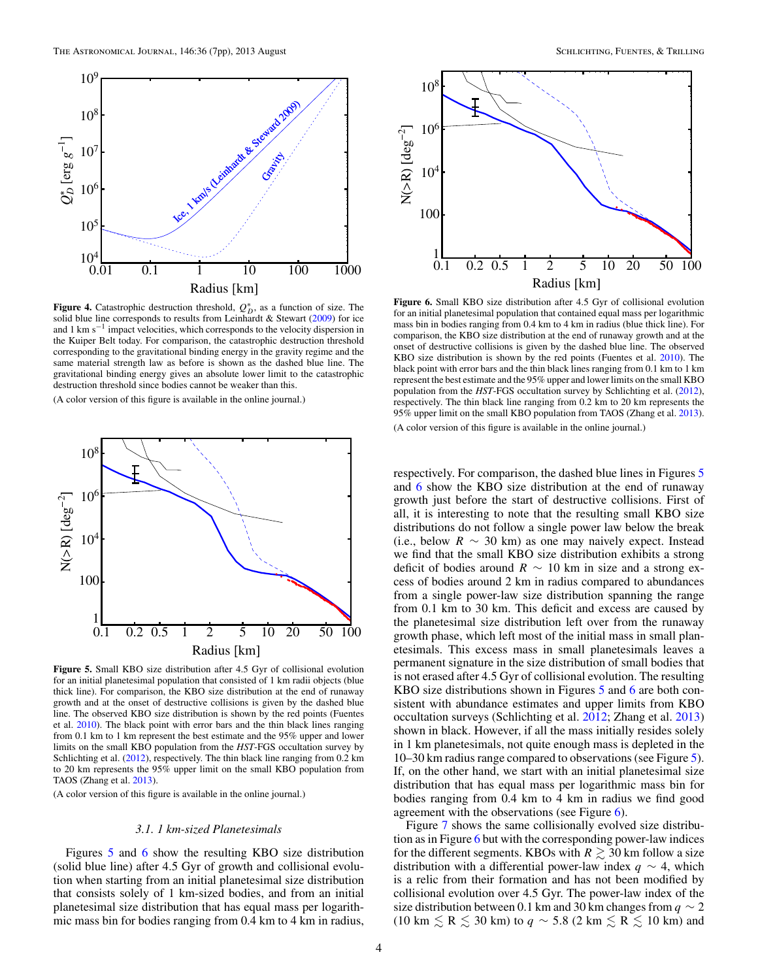<span id="page-3-0"></span>

**Figure 4.** Catastrophic destruction threshold,  $Q_D^*$ , as a function of size. The solid blue line corresponds to results from Leinhardt & Stewart [\(2009\)](#page-6-0) for ice and 1 km s−<sup>1</sup> impact velocities, which corresponds to the velocity dispersion in the Kuiper Belt today. For comparison, the catastrophic destruction threshold corresponding to the gravitational binding energy in the gravity regime and the same material strength law as before is shown as the dashed blue line. The gravitational binding energy gives an absolute lower limit to the catastrophic destruction threshold since bodies cannot be weaker than this.

(A color version of this figure is available in the online journal.)



**Figure 5.** Small KBO size distribution after 4.5 Gyr of collisional evolution for an initial planetesimal population that consisted of 1 km radii objects (blue thick line). For comparison, the KBO size distribution at the end of runaway growth and at the onset of destructive collisions is given by the dashed blue line. The observed KBO size distribution is shown by the red points (Fuentes et al. [2010\)](#page-6-0). The black point with error bars and the thin black lines ranging from 0.1 km to 1 km represent the best estimate and the 95% upper and lower limits on the small KBO population from the *HST*-FGS occultation survey by Schlichting et al. [\(2012\)](#page-6-0), respectively. The thin black line ranging from 0.2 km to 20 km represents the 95% upper limit on the small KBO population from TAOS (Zhang et al. [2013\)](#page-6-0).

(A color version of this figure is available in the online journal.)

## *3.1. 1 km-sized Planetesimals*

Figures 5 and 6 show the resulting KBO size distribution (solid blue line) after 4.5 Gyr of growth and collisional evolution when starting from an initial planetesimal size distribution that consists solely of 1 km-sized bodies, and from an initial planetesimal size distribution that has equal mass per logarithmic mass bin for bodies ranging from 0.4 km to 4 km in radius,



**Figure 6.** Small KBO size distribution after 4.5 Gyr of collisional evolution for an initial planetesimal population that contained equal mass per logarithmic mass bin in bodies ranging from 0.4 km to 4 km in radius (blue thick line). For comparison, the KBO size distribution at the end of runaway growth and at the onset of destructive collisions is given by the dashed blue line. The observed KBO size distribution is shown by the red points (Fuentes et al. [2010\)](#page-6-0). The black point with error bars and the thin black lines ranging from 0.1 km to 1 km represent the best estimate and the 95% upper and lower limits on the small KBO population from the *HST*-FGS occultation survey by Schlichting et al. [\(2012\)](#page-6-0), respectively. The thin black line ranging from 0.2 km to 20 km represents the 95% upper limit on the small KBO population from TAOS (Zhang et al. [2013\)](#page-6-0). (A color version of this figure is available in the online journal.)

respectively. For comparison, the dashed blue lines in Figures 5 and 6 show the KBO size distribution at the end of runaway growth just before the start of destructive collisions. First of all, it is interesting to note that the resulting small KBO size distributions do not follow a single power law below the break (i.e., below  $R \sim 30$  km) as one may naively expect. Instead we find that the small KBO size distribution exhibits a strong deficit of bodies around  $R \sim 10$  km in size and a strong excess of bodies around 2 km in radius compared to abundances from a single power-law size distribution spanning the range from 0.1 km to 30 km. This deficit and excess are caused by the planetesimal size distribution left over from the runaway growth phase, which left most of the initial mass in small planetesimals. This excess mass in small planetesimals leaves a permanent signature in the size distribution of small bodies that is not erased after 4.5 Gyr of collisional evolution. The resulting KBO size distributions shown in Figures 5 and 6 are both consistent with abundance estimates and upper limits from KBO occultation surveys (Schlichting et al. [2012;](#page-6-0) Zhang et al. [2013\)](#page-6-0) shown in black. However, if all the mass initially resides solely in 1 km planetesimals, not quite enough mass is depleted in the 10–30 km radius range compared to observations (see Figure 5). If, on the other hand, we start with an initial planetesimal size distribution that has equal mass per logarithmic mass bin for bodies ranging from 0.4 km to 4 km in radius we find good agreement with the observations (see Figure 6).

Figure [7](#page-4-0) shows the same collisionally evolved size distribution as in Figure 6 but with the corresponding power-law indices for the different segments. KBOs with  $R \gtrsim 30$  km follow a size distribution with a differential power-law index *q* ∼ 4, which is a relic from their formation and has not been modified by collisional evolution over 4.5 Gyr. The power-law index of the size distribution between 0.1 km and 30 km changes from  $q \sim 2$ (10 km  $\le$  R  $\le$  30 km) to  $q \sim$  5.8 (2 km  $\le$  R  $\le$  10 km) and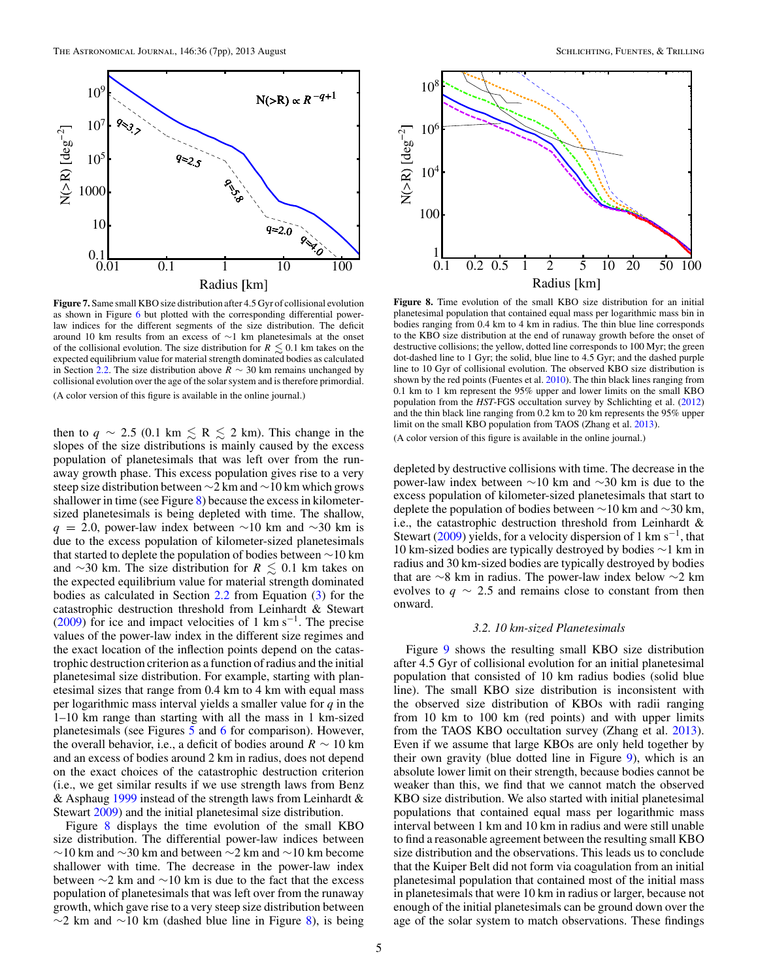<span id="page-4-0"></span>

**Figure 7.** Same small KBO size distribution after 4.5 Gyr of collisional evolution as shown in Figure [6](#page-3-0) but plotted with the corresponding differential powerlaw indices for the different segments of the size distribution. The deficit around 10 km results from an excess of ∼1 km planetesimals at the onset of the collisional evolution. The size distribution for  $R \leq 0.1$  km takes on the expected equilibrium value for material strength dominated bodies as calculated in Section [2.2.](#page-2-0) The size distribution above *R* ∼ 30 km remains unchanged by collisional evolution over the age of the solar system and is therefore primordial. (A color version of this figure is available in the online journal.)

then to  $q \sim 2.5$  (0.1 km  $\le R \le 2$  km). This change in the slopes of the size distributions is mainly caused by the excess population of planetesimals that was left over from the runaway growth phase. This excess population gives rise to a very steep size distribution between ∼2 km and ∼10 km which grows shallower in time (see Figure 8) because the excess in kilometersized planetesimals is being depleted with time. The shallow,  $q = 2.0$ , power-law index between ~10 km and ~30 km is due to the excess population of kilometer-sized planetesimals that started to deplete the population of bodies between ∼10 km and  $\sim$ 30 km. The size distribution for  $R \leq 0.1$  km takes on the expected equilibrium value for material strength dominated bodies as calculated in Section [2.2](#page-2-0) from Equation [\(3\)](#page-2-0) for the catastrophic destruction threshold from Leinhardt & Stewart [\(2009\)](#page-6-0) for ice and impact velocities of 1 km s<sup> $-1$ </sup>. The precise values of the power-law index in the different size regimes and the exact location of the inflection points depend on the catastrophic destruction criterion as a function of radius and the initial planetesimal size distribution. For example, starting with planetesimal sizes that range from 0.4 km to 4 km with equal mass per logarithmic mass interval yields a smaller value for *q* in the 1–10 km range than starting with all the mass in 1 km-sized planetesimals (see Figures [5](#page-3-0) and [6](#page-3-0) for comparison). However, the overall behavior, i.e., a deficit of bodies around  $R \sim 10$  km and an excess of bodies around 2 km in radius, does not depend on the exact choices of the catastrophic destruction criterion (i.e., we get similar results if we use strength laws from Benz & Asphaug [1999](#page-6-0) instead of the strength laws from Leinhardt & Stewart [2009\)](#page-6-0) and the initial planetesimal size distribution.

Figure 8 displays the time evolution of the small KBO size distribution. The differential power-law indices between  $∼10$  km and  $∼30$  km and between  $∼2$  km and  $∼10$  km become shallower with time. The decrease in the power-law index between ∼2 km and ∼10 km is due to the fact that the excess population of planetesimals that was left over from the runaway growth, which gave rise to a very steep size distribution between  $\sim$ 2 km and  $\sim$ 10 km (dashed blue line in Figure 8), is being



**Figure 8.** Time evolution of the small KBO size distribution for an initial planetesimal population that contained equal mass per logarithmic mass bin in bodies ranging from 0.4 km to 4 km in radius. The thin blue line corresponds to the KBO size distribution at the end of runaway growth before the onset of destructive collisions; the yellow, dotted line corresponds to 100 Myr; the green dot-dashed line to 1 Gyr; the solid, blue line to 4.5 Gyr; and the dashed purple line to 10 Gyr of collisional evolution. The observed KBO size distribution is shown by the red points (Fuentes et al. [2010\)](#page-6-0). The thin black lines ranging from 0.1 km to 1 km represent the 95% upper and lower limits on the small KBO population from the *HST*-FGS occultation survey by Schlichting et al. [\(2012\)](#page-6-0) and the thin black line ranging from 0.2 km to 20 km represents the 95% upper limit on the small KBO population from TAOS (Zhang et al. [2013\)](#page-6-0).

(A color version of this figure is available in the online journal.)

depleted by destructive collisions with time. The decrease in the power-law index between ∼10 km and ∼30 km is due to the excess population of kilometer-sized planetesimals that start to deplete the population of bodies between ∼10 km and ∼30 km, i.e., the catastrophic destruction threshold from Leinhardt & Stewart [\(2009\)](#page-6-0) yields, for a velocity dispersion of 1 km s<sup>-1</sup>, that 10 km-sized bodies are typically destroyed by bodies ∼1 km in radius and 30 km-sized bodies are typically destroyed by bodies that are ∼8 km in radius. The power-law index below ∼2 km evolves to  $q \sim 2.5$  and remains close to constant from then onward.

### *3.2. 10 km-sized Planetesimals*

Figure [9](#page-5-0) shows the resulting small KBO size distribution after 4.5 Gyr of collisional evolution for an initial planetesimal population that consisted of 10 km radius bodies (solid blue line). The small KBO size distribution is inconsistent with the observed size distribution of KBOs with radii ranging from 10 km to 100 km (red points) and with upper limits from the TAOS KBO occultation survey (Zhang et al. [2013\)](#page-6-0). Even if we assume that large KBOs are only held together by their own gravity (blue dotted line in Figure [9\)](#page-5-0), which is an absolute lower limit on their strength, because bodies cannot be weaker than this, we find that we cannot match the observed KBO size distribution. We also started with initial planetesimal populations that contained equal mass per logarithmic mass interval between 1 km and 10 km in radius and were still unable to find a reasonable agreement between the resulting small KBO size distribution and the observations. This leads us to conclude that the Kuiper Belt did not form via coagulation from an initial planetesimal population that contained most of the initial mass in planetesimals that were 10 km in radius or larger, because not enough of the initial planetesimals can be ground down over the age of the solar system to match observations. These findings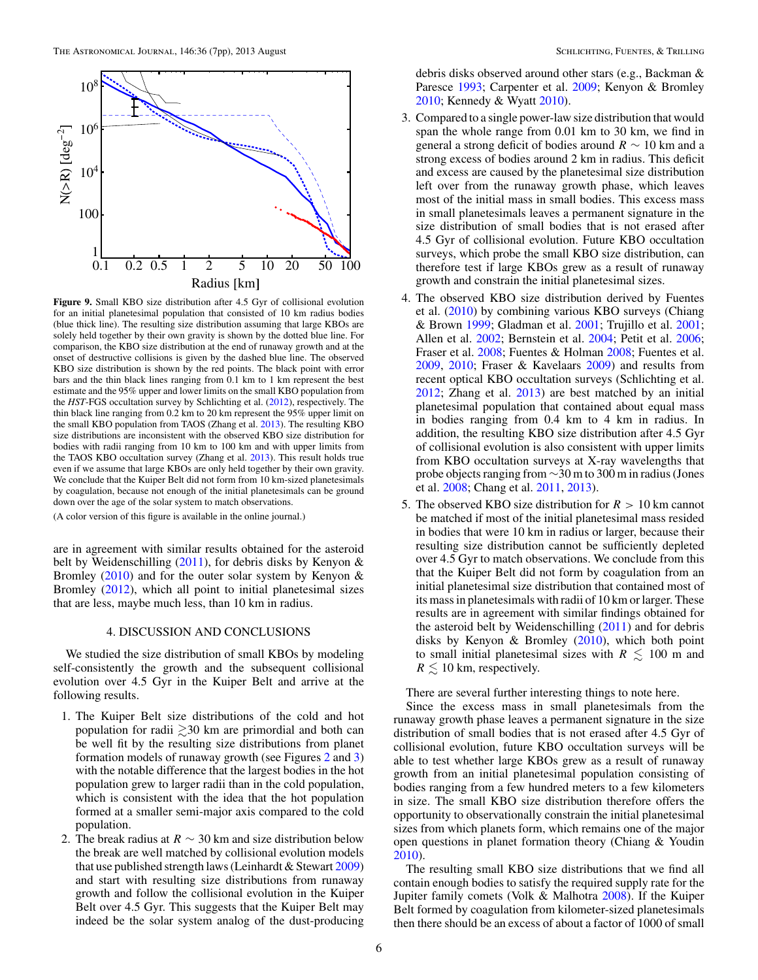<span id="page-5-0"></span>

**Figure 9.** Small KBO size distribution after 4.5 Gyr of collisional evolution for an initial planetesimal population that consisted of 10 km radius bodies (blue thick line). The resulting size distribution assuming that large KBOs are solely held together by their own gravity is shown by the dotted blue line. For comparison, the KBO size distribution at the end of runaway growth and at the onset of destructive collisions is given by the dashed blue line. The observed KBO size distribution is shown by the red points. The black point with error bars and the thin black lines ranging from 0.1 km to 1 km represent the best estimate and the 95% upper and lower limits on the small KBO population from the *HST*-FGS occultation survey by Schlichting et al. [\(2012\)](#page-6-0), respectively. The thin black line ranging from 0.2 km to 20 km represent the 95% upper limit on the small KBO population from TAOS (Zhang et al. [2013\)](#page-6-0). The resulting KBO size distributions are inconsistent with the observed KBO size distribution for bodies with radii ranging from 10 km to 100 km and with upper limits from the TAOS KBO occultation survey (Zhang et al. [2013\)](#page-6-0). This result holds true even if we assume that large KBOs are only held together by their own gravity. We conclude that the Kuiper Belt did not form from 10 km-sized planetesimals by coagulation, because not enough of the initial planetesimals can be ground down over the age of the solar system to match observations.

(A color version of this figure is available in the online journal.)

are in agreement with similar results obtained for the asteroid belt by Weidenschilling [\(2011\)](#page-6-0), for debris disks by Kenyon & Bromley [\(2010\)](#page-6-0) and for the outer solar system by Kenyon & Bromley [\(2012\)](#page-6-0), which all point to initial planetesimal sizes that are less, maybe much less, than 10 km in radius.

## 4. DISCUSSION AND CONCLUSIONS

We studied the size distribution of small KBOs by modeling self-consistently the growth and the subsequent collisional evolution over 4.5 Gyr in the Kuiper Belt and arrive at the following results.

- 1. The Kuiper Belt size distributions of the cold and hot population for radii  $\geq 30$  km are primordial and both can be well fit by the resulting size distributions from planet formation models of runaway growth (see Figures [2](#page-1-0) and [3\)](#page-1-0) with the notable difference that the largest bodies in the hot population grew to larger radii than in the cold population, which is consistent with the idea that the hot population formed at a smaller semi-major axis compared to the cold population.
- 2. The break radius at  $R \sim 30$  km and size distribution below the break are well matched by collisional evolution models that use published strength laws (Leinhardt & Stewart [2009\)](#page-6-0) and start with resulting size distributions from runaway growth and follow the collisional evolution in the Kuiper Belt over 4.5 Gyr. This suggests that the Kuiper Belt may indeed be the solar system analog of the dust-producing

debris disks observed around other stars (e.g., Backman & Paresce [1993;](#page-6-0) Carpenter et al. [2009;](#page-6-0) Kenyon & Bromley [2010;](#page-6-0) Kennedy & Wyatt [2010\)](#page-6-0).

- 3. Compared to a single power-law size distribution that would span the whole range from 0.01 km to 30 km, we find in general a strong deficit of bodies around *R* ∼ 10 km and a strong excess of bodies around 2 km in radius. This deficit and excess are caused by the planetesimal size distribution left over from the runaway growth phase, which leaves most of the initial mass in small bodies. This excess mass in small planetesimals leaves a permanent signature in the size distribution of small bodies that is not erased after 4.5 Gyr of collisional evolution. Future KBO occultation surveys, which probe the small KBO size distribution, can therefore test if large KBOs grew as a result of runaway growth and constrain the initial planetesimal sizes.
- 4. The observed KBO size distribution derived by Fuentes et al. [\(2010\)](#page-6-0) by combining various KBO surveys (Chiang & Brown [1999;](#page-6-0) Gladman et al. [2001;](#page-6-0) Trujillo et al. [2001;](#page-6-0) Allen et al. [2002;](#page-6-0) Bernstein et al. [2004;](#page-6-0) Petit et al. [2006;](#page-6-0) Fraser et al. [2008;](#page-6-0) Fuentes & Holman [2008;](#page-6-0) Fuentes et al. [2009,](#page-6-0) [2010;](#page-6-0) Fraser & Kavelaars [2009\)](#page-6-0) and results from recent optical KBO occultation surveys (Schlichting et al. [2012;](#page-6-0) Zhang et al. [2013\)](#page-6-0) are best matched by an initial planetesimal population that contained about equal mass in bodies ranging from 0.4 km to 4 km in radius. In addition, the resulting KBO size distribution after 4.5 Gyr of collisional evolution is also consistent with upper limits from KBO occultation surveys at X-ray wavelengths that probe objects ranging from ∼30 m to 300 m in radius (Jones et al. [2008;](#page-6-0) Chang et al. [2011,](#page-6-0) [2013\)](#page-6-0).
- 5. The observed KBO size distribution for *R >* 10 km cannot be matched if most of the initial planetesimal mass resided in bodies that were 10 km in radius or larger, because their resulting size distribution cannot be sufficiently depleted over 4.5 Gyr to match observations. We conclude from this that the Kuiper Belt did not form by coagulation from an initial planetesimal size distribution that contained most of its mass in planetesimals with radii of 10 km or larger. These results are in agreement with similar findings obtained for the asteroid belt by Weidenschilling [\(2011\)](#page-6-0) and for debris disks by Kenyon & Bromley [\(2010\)](#page-6-0), which both point to small initial planetesimal sizes with  $R \lesssim 100$  m and  $R \lesssim 10$  km, respectively.

There are several further interesting things to note here.

Since the excess mass in small planetesimals from the runaway growth phase leaves a permanent signature in the size distribution of small bodies that is not erased after 4.5 Gyr of collisional evolution, future KBO occultation surveys will be able to test whether large KBOs grew as a result of runaway growth from an initial planetesimal population consisting of bodies ranging from a few hundred meters to a few kilometers in size. The small KBO size distribution therefore offers the opportunity to observationally constrain the initial planetesimal sizes from which planets form, which remains one of the major open questions in planet formation theory (Chiang & Youdin [2010\)](#page-6-0).

The resulting small KBO size distributions that we find all contain enough bodies to satisfy the required supply rate for the Jupiter family comets (Volk & Malhotra [2008\)](#page-6-0). If the Kuiper Belt formed by coagulation from kilometer-sized planetesimals then there should be an excess of about a factor of 1000 of small